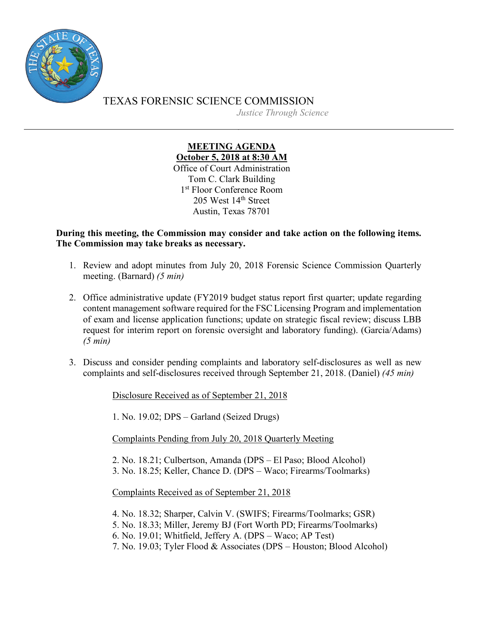

TEXAS FORENSIC SCIENCE COMMISSION *Justice Through Science*

> **MEETING AGENDA October 5, 2018 at 8:30 AM** Office of Court Administration Tom C. Clark Building 1st Floor Conference Room 205 West 14<sup>th</sup> Street Austin, Texas 78701

**During this meeting, the Commission may consider and take action on the following items. The Commission may take breaks as necessary.**

- 1. Review and adopt minutes from July 20, 2018 Forensic Science Commission Quarterly meeting. (Barnard) *(5 min)*
- 2. Office administrative update (FY2019 budget status report first quarter; update regarding content management software required for the FSC Licensing Program and implementation of exam and license application functions; update on strategic fiscal review; discuss LBB request for interim report on forensic oversight and laboratory funding). (Garcia/Adams) *(5 min)*
- 3. Discuss and consider pending complaints and laboratory self-disclosures as well as new complaints and self-disclosures received through September 21, 2018. (Daniel) *(45 min)*

Disclosure Received as of September 21, 2018

1. No. 19.02; DPS – Garland (Seized Drugs)

Complaints Pending from July 20, 2018 Quarterly Meeting

2. No. 18.21; Culbertson, Amanda (DPS – El Paso; Blood Alcohol)

3. No. 18.25; Keller, Chance D. (DPS – Waco; Firearms/Toolmarks)

Complaints Received as of September 21, 2018

- 4. No. 18.32; Sharper, Calvin V. (SWIFS; Firearms/Toolmarks; GSR)
- 5. No. 18.33; Miller, Jeremy BJ (Fort Worth PD; Firearms/Toolmarks)
- 6. No. 19.01; Whitfield, Jeffery A. (DPS Waco; AP Test)
- 7. No. 19.03; Tyler Flood & Associates (DPS Houston; Blood Alcohol)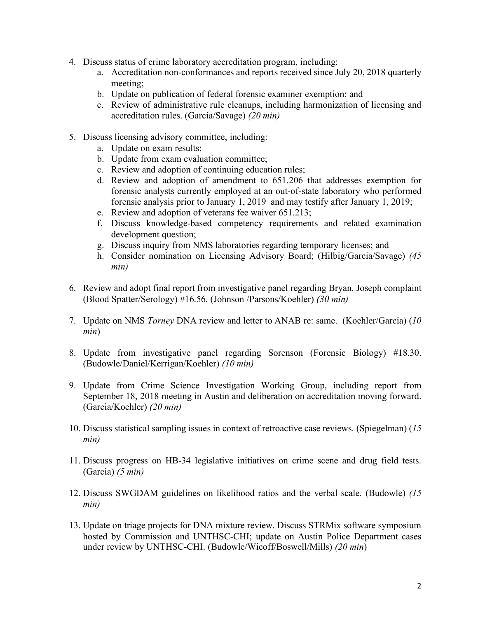- 4. Discuss status of crime laboratory accreditation program, including:
	- a. Accreditation non-conformances and reports received since July 20, 2018 quarterly meeting;
	- b. Update on publication of federal forensic examiner exemption; and
	- c. Review of administrative rule cleanups, including harmonization of licensing and accreditation rules. (Garcia/Savage) *(20 min)*
- 5. Discuss licensing advisory committee, including:
	- a. Update on exam results;
	- b. Update from exam evaluation committee;
	- c. Review and adoption of continuing education rules;
	- d. Review and adoption of amendment to 651.206 that addresses exemption for forensic analysts currently employed at an out-of-state laboratory who performed forensic analysis prior to January 1, 2019 and may testify after January 1, 2019;
	- e. Review and adoption of veterans fee waiver 651.213;
	- f. Discuss knowledge-based competency requirements and related examination development question;
	- g. Discuss inquiry from NMS laboratories regarding temporary licenses; and
	- h. Consider nomination on Licensing Advisory Board; (Hilbig/Garcia/Savage) *(45 min)*
- 6. Review and adopt final report from investigative panel regarding Bryan, Joseph complaint (Blood Spatter/Serology) #16.56. (Johnson /Parsons/Koehler) *(30 min)*
- 7. Update on NMS *Torney* DNA review and letter to ANAB re: same. (Koehler/Garcia) (*10 min*)
- 8. Update from investigative panel regarding Sorenson (Forensic Biology) #18.30. (Budowle/Daniel/Kerrigan/Koehler) *(10 min)*
- 9. Update from Crime Science Investigation Working Group, including report from September 18, 2018 meeting in Austin and deliberation on accreditation moving forward. (Garcia/Koehler) *(20 min)*
- 10. Discuss statistical sampling issues in context of retroactive case reviews. (Spiegelman) (*15 min)*
- 11. Discuss progress on HB-34 legislative initiatives on crime scene and drug field tests. (Garcia) *(5 min)*
- 12. Discuss SWGDAM guidelines on likelihood ratios and the verbal scale. (Budowle) *(15 min)*
- 13. Update on triage projects for DNA mixture review. Discuss STRMix software symposium hosted by Commission and UNTHSC-CHI; update on Austin Police Department cases under review by UNTHSC-CHI. (Budowle/Wicoff/Boswell/Mills) *(20 min*)